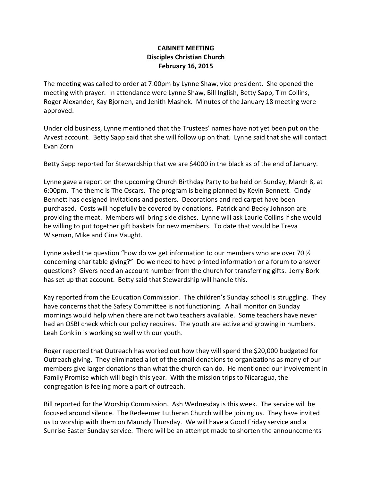## CABINET MEETING Disciples Christian Church February 16, 2015

The meeting was called to order at 7:00pm by Lynne Shaw, vice president. She opened the meeting with prayer. In attendance were Lynne Shaw, Bill Inglish, Betty Sapp, Tim Collins, Roger Alexander, Kay Bjornen, and Jenith Mashek. Minutes of the January 18 meeting were approved.

Under old business, Lynne mentioned that the Trustees' names have not yet been put on the Arvest account. Betty Sapp said that she will follow up on that. Lynne said that she will contact Evan Zorn

Betty Sapp reported for Stewardship that we are \$4000 in the black as of the end of January.

Lynne gave a report on the upcoming Church Birthday Party to be held on Sunday, March 8, at 6:00pm. The theme is The Oscars. The program is being planned by Kevin Bennett. Cindy Bennett has designed invitations and posters. Decorations and red carpet have been purchased. Costs will hopefully be covered by donations. Patrick and Becky Johnson are providing the meat. Members will bring side dishes. Lynne will ask Laurie Collins if she would be willing to put together gift baskets for new members. To date that would be Treva Wiseman, Mike and Gina Vaught.

Lynne asked the question "how do we get information to our members who are over 70  $\frac{1}{2}$ concerning charitable giving?" Do we need to have printed information or a forum to answer questions? Givers need an account number from the church for transferring gifts. Jerry Bork has set up that account. Betty said that Stewardship will handle this.

Kay reported from the Education Commission. The children's Sunday school is struggling. They have concerns that the Safety Committee is not functioning. A hall monitor on Sunday mornings would help when there are not two teachers available. Some teachers have never had an OSBI check which our policy requires. The youth are active and growing in numbers. Leah Conklin is working so well with our youth.

Roger reported that Outreach has worked out how they will spend the \$20,000 budgeted for Outreach giving. They eliminated a lot of the small donations to organizations as many of our members give larger donations than what the church can do. He mentioned our involvement in Family Promise which will begin this year. With the mission trips to Nicaragua, the congregation is feeling more a part of outreach.

Bill reported for the Worship Commission. Ash Wednesday is this week. The service will be focused around silence. The Redeemer Lutheran Church will be joining us. They have invited us to worship with them on Maundy Thursday. We will have a Good Friday service and a Sunrise Easter Sunday service. There will be an attempt made to shorten the announcements